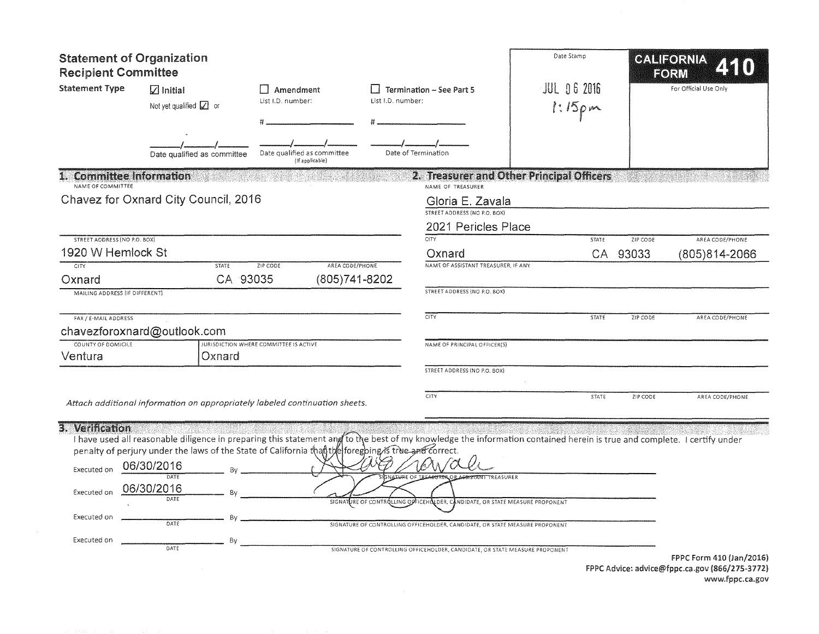| <b>Statement of Organization</b><br><b>Recipient Committee</b>              |                                                                                                                                                                                                                                                                                                                                                                    |                                                |                                  |                                                                                                                                                                                                      | Date Stamp         |              | CALIFORNIA<br><b>EORM</b> |                          |
|-----------------------------------------------------------------------------|--------------------------------------------------------------------------------------------------------------------------------------------------------------------------------------------------------------------------------------------------------------------------------------------------------------------------------------------------------------------|------------------------------------------------|----------------------------------|------------------------------------------------------------------------------------------------------------------------------------------------------------------------------------------------------|--------------------|--------------|---------------------------|--------------------------|
| <b>Statement Type</b>                                                       | $\sqrt{ }$ Initial<br>Not yet qualified $\Box$ or                                                                                                                                                                                                                                                                                                                  | Amendment<br>List I.D. number:                 | List I.D. number:                | <b>Termination - See Part 5</b>                                                                                                                                                                      | <b>JUL 06 2016</b> | $1:15p$ m    |                           | For Official Use Only    |
|                                                                             | Date qualified as committee                                                                                                                                                                                                                                                                                                                                        | Date qualified as committee<br>(If applicable) |                                  | Date of Termination                                                                                                                                                                                  |                    |              |                           |                          |
| <b>Committee Information</b><br>NAME OF COMMITTEE                           |                                                                                                                                                                                                                                                                                                                                                                    |                                                |                                  | 2. Treasurer and Other Principal Officers<br>NAME OF TREASURER                                                                                                                                       |                    |              |                           |                          |
|                                                                             | Chavez for Oxnard City Council, 2016                                                                                                                                                                                                                                                                                                                               |                                                |                                  | Gloria E. Zavala                                                                                                                                                                                     |                    |              |                           |                          |
|                                                                             |                                                                                                                                                                                                                                                                                                                                                                    |                                                |                                  | STREET ADDRESS (NO P.O. BOX)                                                                                                                                                                         |                    |              |                           |                          |
| STREET ADDRESS (NO P.O. BOX)                                                |                                                                                                                                                                                                                                                                                                                                                                    |                                                |                                  | 2021 Pericles Place<br><b>CITY</b>                                                                                                                                                                   |                    | <b>STATE</b> | ZIP CODE                  | AREA CODE/PHONE          |
| 1920 W Hemlock St                                                           |                                                                                                                                                                                                                                                                                                                                                                    |                                                |                                  | Oxnard                                                                                                                                                                                               |                    |              | CA 93033                  | (805)814-2066            |
| <b>CITY</b><br>Oxnard                                                       | <b>STATE</b><br>CA 93035                                                                                                                                                                                                                                                                                                                                           | AREA CODE/PHONE<br>ZIP CODE                    | (805) 741-8202                   | NAME OF ASSISTANT TREASURER, IF ANY                                                                                                                                                                  |                    |              |                           |                          |
| MAILING ADDRESS (IF DIFFERENT)                                              |                                                                                                                                                                                                                                                                                                                                                                    |                                                |                                  | <b>STREET ADDRESS (NO P.O. BOX)</b>                                                                                                                                                                  |                    |              |                           |                          |
| FAX / E-MAIL ADDRESS                                                        | chavezforoxnard@outlook.com                                                                                                                                                                                                                                                                                                                                        |                                                |                                  | CITY                                                                                                                                                                                                 |                    | <b>STATE</b> | ZIP CODE                  | AREA CODE/PHONE          |
| COUNTY OF DOMICILE<br>Ventura                                               | Oxnard                                                                                                                                                                                                                                                                                                                                                             | JURISDICTION WHERE COMMITTEE IS ACTIVE         |                                  | NAME OF PRINCIPAL OFFICER(S)                                                                                                                                                                         |                    |              |                           |                          |
|                                                                             |                                                                                                                                                                                                                                                                                                                                                                    |                                                |                                  | STREET ADDRESS (NO P.O. BOX)                                                                                                                                                                         |                    |              |                           |                          |
|                                                                             | Attach additional information on appropriately labeled continuation sheets.                                                                                                                                                                                                                                                                                        |                                                |                                  | CITY                                                                                                                                                                                                 |                    | <b>STATE</b> | ZIP CODE                  | AREA CODE/PHONE          |
| 3. Verification<br>Executed on<br>Executed on<br>Executed on<br>Executed on | I have used all reasonable diligence in preparing this statement and to the best of my knowledge the information contained herein is true and complete. I certify under<br>penalty of perjury under the laws of the State of California than the foregoing is true and correct.<br>06/30/2016<br>By<br>DATE<br>06/30/2016<br><b>Bv</b><br>DATE<br>By<br>DATE<br>Bγ |                                                | SIGNATURE OF CONTROLLING OFFICEH | 6XX/OX<br><b>ASSISTANT TREASURER</b><br><b>GNATURE OF TREASHTRER</b><br>LIDER, CANDIDATE, OR STATE MEASURE PROPONENT<br>SIGNATURE OF CONTROLLING OFFICEHOLDER, CANDIDATE, OR STATE MEASURE PROPONENT |                    |              |                           |                          |
|                                                                             | DATE                                                                                                                                                                                                                                                                                                                                                               |                                                |                                  | SIGNATURE OF CONTROLLING OFFICEHOLDER, CANDIDATE, OR STATE MEASURE PROPONENT                                                                                                                         |                    |              |                           | FPPC Form 410 (Jan/2016) |

 $\sim 10^{11}$ 

FPPC Advice: advice@fppc.ca.gov (866/275-3772) www.fppc.ca.gov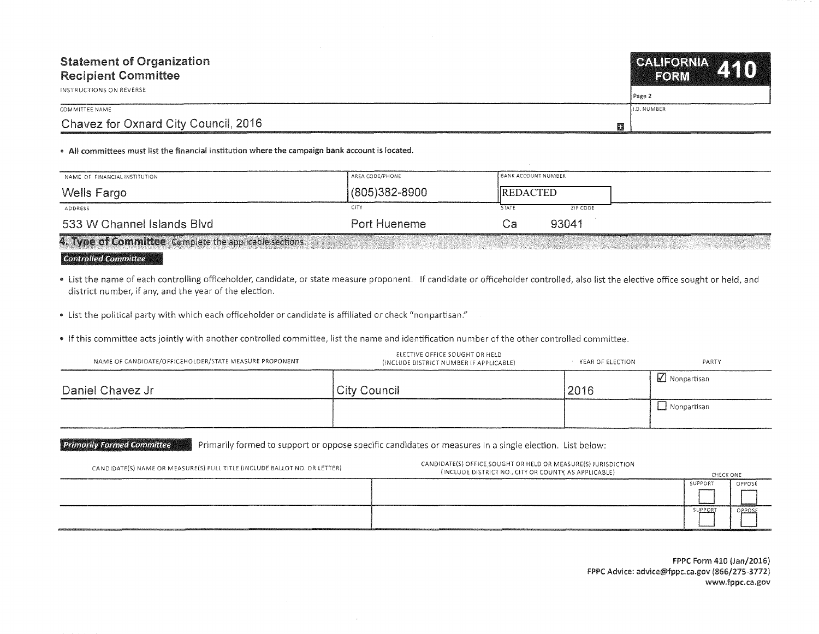| <b>Statement of Organization</b><br><b>Recipient Committee</b> | CALIFORNIA 410<br><b>IFORM</b> |  |
|----------------------------------------------------------------|--------------------------------|--|
| INSTRUCTIONS ON REVERSE                                        | Page 2                         |  |
| COMMITTEE NAME                                                 | <b>ILD. NUMBER</b>             |  |
| Chavez for Oxnard City Council, 2016<br>蠶                      |                                |  |

• Ali committees must list the financial institution where the campaign bank account is located.

| NAME OF FINANCIAL INSTITUTION                          | AREA CODE/PHONE   | <b>BANK ACCOUNT NUMBER</b> |  |
|--------------------------------------------------------|-------------------|----------------------------|--|
| Wells Fargo                                            | $(805)382 - 8900$ | <b>IREDACTED</b>           |  |
| ADDRESS                                                | <b>CITY</b>       | <b>STATE</b><br>ZIP CODE   |  |
| 533 W Channel Islands Blvd                             | Port Hueneme      | 93041                      |  |
| 4. Type of Committee Complete the applicable sections. |                   |                            |  |

## **Controlled Committee**

• list the name of each controlling officeholder, candidate, or state measure proponent. If candidate or officeholder controlled, also list the elective office sought or held, and district number, if any, and the year of the election.

• list the political party with which each officeholder or candidate is affiliated or check "nonpartisan."

• If this committee acts jointly with another controlled committee, list the name and identification number of the other controlled committee.

| NAME OF CANDIDATE/OFFICEHOLDER/STATE MEASURE PROPONENT | ELECTIVE OFFICE SOUGHT OR HELD<br>(INCLUDE DISTRICT NUMBER IF APPLICABLE) | YEAR OF ELECTION | PARTY              |
|--------------------------------------------------------|---------------------------------------------------------------------------|------------------|--------------------|
| Daniel Chavez Jr                                       | <b>City Council</b>                                                       | 2016             | Monpartisan        |
|                                                        |                                                                           |                  | $\Box$ Nonpartisan |

Primarily Formed Committee **Primarily formed to support or oppose specific candidates or measures in a single election. List below:** 

| CANDIDATE(S) NAME OR MEASURE(S) FULL TITLE (INCLUDE BALLOT NO. OR LETTER) | CANDIDATE(S) OFFICE SOUGHT OR HELD OR MEASURE(S) JURISDICTION<br>(INCLUDE DISTRICT NO., CITY OR COUNTY, AS APPLICABLE) | CHECK ONE |        |
|---------------------------------------------------------------------------|------------------------------------------------------------------------------------------------------------------------|-----------|--------|
|                                                                           |                                                                                                                        | SUPPORT   | OPPOSE |
|                                                                           |                                                                                                                        |           |        |
|                                                                           |                                                                                                                        | :UPPOR'   | OPPOSE |
|                                                                           |                                                                                                                        |           |        |

FPPC Form 410 (Jan/2016) FPPC Advice: advice@fppc.ca.gov (866/275-3772) www.fppc.ca.gov